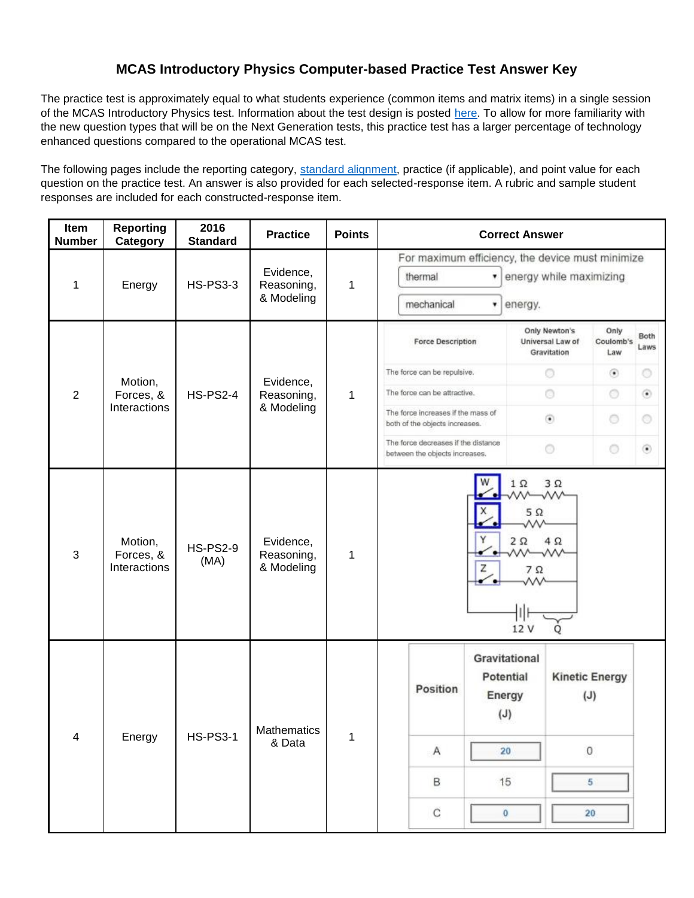#### **MCAS Introductory Physics Computer-based Practice Test Answer Key**

The practice test is approximately equal to what students experience (common items and matrix items) in a single session of the MCAS Introductory Physics test. Information about the test design is posted [here.](http://www.doe.mass.edu/mcas/tdd/sci.html) To allow for more familiarity with the new question types that will be on the Next Generation tests, this practice test has a larger percentage of technology enhanced questions compared to the operational MCAS test.

The following pages include the reporting category, [standard alignment,](http://www.doe.mass.edu/frameworks/) practice (if applicable), and point value for each question on the practice test. An answer is also provided for each selected-response item. A rubric and sample student responses are included for each constructed-response item.

| Item<br><b>Number</b>   | <b>Reporting</b><br>Category         | 2016<br><b>Standard</b> | <b>Practice</b>                       | <b>Points</b> | <b>Correct Answer</b>                                                                           |                                                                                              |
|-------------------------|--------------------------------------|-------------------------|---------------------------------------|---------------|-------------------------------------------------------------------------------------------------|----------------------------------------------------------------------------------------------|
| 1                       | Energy                               | <b>HS-PS3-3</b>         | Evidence,<br>Reasoning,<br>& Modeling | 1             | For maximum efficiency, the device must minimize<br>thermal<br>۷.<br>mechanical<br>energy.<br>۳ | energy while maximizing                                                                      |
|                         |                                      |                         |                                       |               | <b>Force Description</b>                                                                        | Only Newton's<br>Only<br>Both<br>Coulomb's<br>Universal Law of<br>Laws<br>Gravitation<br>Law |
|                         | Motion,                              |                         | Evidence,                             |               | The force can be repulsive.                                                                     | $\circ$<br>$_{\odot}$<br>O                                                                   |
| $\overline{2}$          | Forces, &                            | <b>HS-PS2-4</b>         | Reasoning,                            | 1             | The force can be attractive.                                                                    | O<br>$\odot$<br>۰                                                                            |
|                         | Interactions                         |                         | & Modeling                            |               | The force increases if the mass of<br>both of the objects increases.                            | $\left(\widehat{\bullet}\right)$<br>$\circ$<br>$\circ$                                       |
|                         |                                      |                         |                                       |               | The force decreases if the distance<br>between the objects increases.                           | $\circ$<br>$\circ$<br>۵                                                                      |
| $\mathfrak{S}$          | Motion,<br>Forces, &<br>Interactions | <b>HS-PS2-9</b><br>(MA) | Evidence,<br>Reasoning,<br>& Modeling | 1             | $1~\Omega$<br>$5\ \Omega$<br>w<br>Υ<br>$2\Omega$<br>w—w<br>z<br>$7\Omega$<br>12 V               | $3\Omega$<br>₩<br>$4\Omega$<br>O                                                             |
|                         |                                      |                         | Mathematics                           |               | Gravitational<br>Potential<br>Position<br>Energy<br>(J)                                         | <b>Kinetic Energy</b><br>(J)                                                                 |
| $\overline{\mathbf{4}}$ | Energy                               | <b>HS-PS3-1</b>         | & Data                                | $\mathbf{1}$  | $\overline{A}$<br>20 <sub>2</sub>                                                               | $\,0\,$                                                                                      |
|                         |                                      |                         |                                       |               | B<br>15                                                                                         | 5                                                                                            |
|                         |                                      |                         |                                       |               | $\mathbf C$<br>$\bf{0}$                                                                         | $20\,$                                                                                       |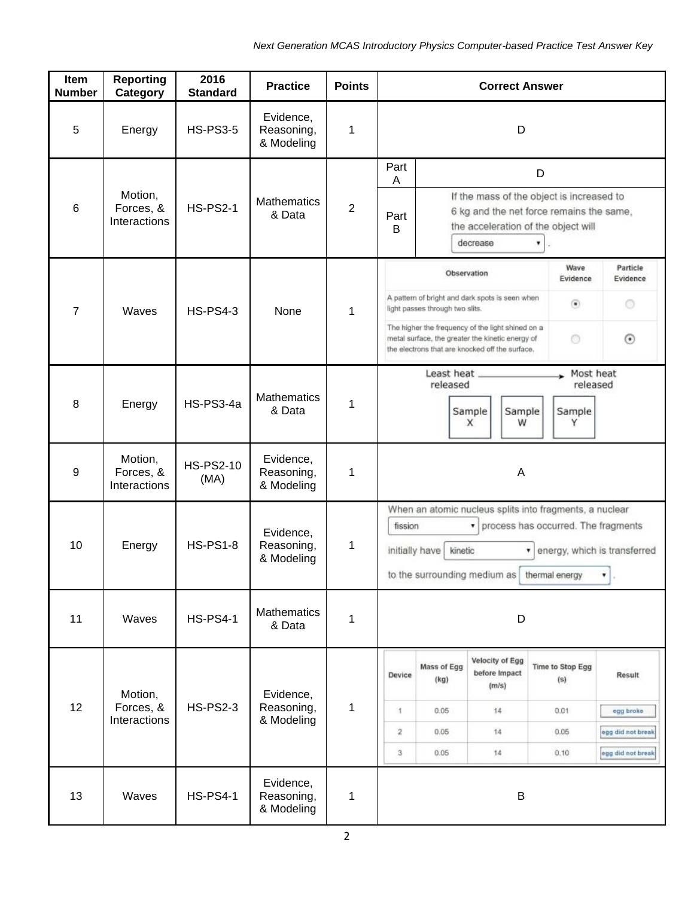| Item<br><b>Number</b> | <b>Reporting</b><br><b>Category</b>                                                                            | 2016<br><b>Standard</b> | <b>Practice</b>                       | <b>Points</b>  | <b>Correct Answer</b>                                                                                                                                                                                                       |                                 |                                                                                                                                                          |                                                                                  |                                          |  |
|-----------------------|----------------------------------------------------------------------------------------------------------------|-------------------------|---------------------------------------|----------------|-----------------------------------------------------------------------------------------------------------------------------------------------------------------------------------------------------------------------------|---------------------------------|----------------------------------------------------------------------------------------------------------------------------------------------------------|----------------------------------------------------------------------------------|------------------------------------------|--|
| 5                     | Energy                                                                                                         | <b>HS-PS3-5</b>         | Evidence,<br>Reasoning,<br>& Modeling | 1              | D                                                                                                                                                                                                                           |                                 |                                                                                                                                                          |                                                                                  |                                          |  |
|                       |                                                                                                                |                         |                                       |                | Part<br>A                                                                                                                                                                                                                   |                                 |                                                                                                                                                          | D                                                                                |                                          |  |
| 6                     | Motion,<br>Forces, &<br>Interactions                                                                           | <b>HS-PS2-1</b>         | <b>Mathematics</b><br>& Data          | $\overline{2}$ | Part<br>B                                                                                                                                                                                                                   |                                 | decrease                                                                                                                                                 | If the mass of the object is increased to<br>the acceleration of the object will | 6 kg and the net force remains the same, |  |
|                       |                                                                                                                |                         |                                       |                |                                                                                                                                                                                                                             | Observation                     |                                                                                                                                                          | Wave<br>Evidence                                                                 | Particle<br>Evidence                     |  |
| $\overline{7}$        | Waves                                                                                                          | <b>HS-PS4-3</b>         | None                                  | 1              |                                                                                                                                                                                                                             | light passes through two slits. | A pattern of bright and dark spots is seen when                                                                                                          | $\circledbullet$                                                                 | O                                        |  |
|                       |                                                                                                                |                         |                                       |                |                                                                                                                                                                                                                             |                                 | The higher the frequency of the light shined on a<br>metal surface, the greater the kinetic energy of<br>the electrons that are knocked off the surface. | Ō                                                                                | $_{\odot}$                               |  |
|                       |                                                                                                                |                         |                                       |                |                                                                                                                                                                                                                             | Least heat _<br>released        |                                                                                                                                                          | Most heat<br>released                                                            |                                          |  |
| 8                     | Energy                                                                                                         | HS-PS3-4a               | <b>Mathematics</b><br>& Data          | 1              |                                                                                                                                                                                                                             |                                 | Sample<br>Sample<br>W<br>x                                                                                                                               | Sample<br>Υ                                                                      |                                          |  |
| $\boldsymbol{9}$      | Motion,<br>Evidence,<br><b>HS-PS2-10</b><br>Forces, &<br>Reasoning,<br>1<br>(MA)<br>Interactions<br>& Modeling |                         | A                                     |                |                                                                                                                                                                                                                             |                                 |                                                                                                                                                          |                                                                                  |                                          |  |
| 10                    | Energy                                                                                                         | <b>HS-PS1-8</b>         | Evidence,<br>Reasoning,<br>& Modeling | 1              | When an atomic nucleus splits into fragments, a nuclear<br>process has occurred. The fragments<br>fission<br>۷.<br>kinetic<br>initially have<br>energy, which is transferred<br>to the surrounding medium as thermal energy |                                 | ۷<br>$\sim$                                                                                                                                              |                                                                                  |                                          |  |
| 11                    | Waves                                                                                                          | <b>HS-PS4-1</b>         | <b>Mathematics</b><br>& Data          | 1              |                                                                                                                                                                                                                             |                                 | D                                                                                                                                                        |                                                                                  |                                          |  |
|                       | Motion,                                                                                                        |                         | Evidence,                             |                | Device                                                                                                                                                                                                                      | Mass of Egg<br>(kg)             | Velocity of Egg<br>before Impact<br>(m/s)                                                                                                                | Time to Stop Egg<br>(s)                                                          | <b>Result</b>                            |  |
| 12                    | Forces, &<br>Interactions                                                                                      | <b>HS-PS2-3</b>         | Reasoning,                            | 1              | 4                                                                                                                                                                                                                           | 0.05                            | 14                                                                                                                                                       | 0.01                                                                             | egg broke                                |  |
|                       |                                                                                                                |                         | & Modeling                            |                | $\overline{\mathbf{2}}$                                                                                                                                                                                                     | 0.05                            | 14                                                                                                                                                       | 0.05.                                                                            | egg did not break                        |  |
|                       |                                                                                                                |                         |                                       |                | 3                                                                                                                                                                                                                           | 0.05                            | 14                                                                                                                                                       | 0, 10                                                                            | egg did not break                        |  |
| 13                    | Waves                                                                                                          | <b>HS-PS4-1</b>         | Evidence,<br>Reasoning,<br>& Modeling | 1              |                                                                                                                                                                                                                             |                                 | B                                                                                                                                                        |                                                                                  |                                          |  |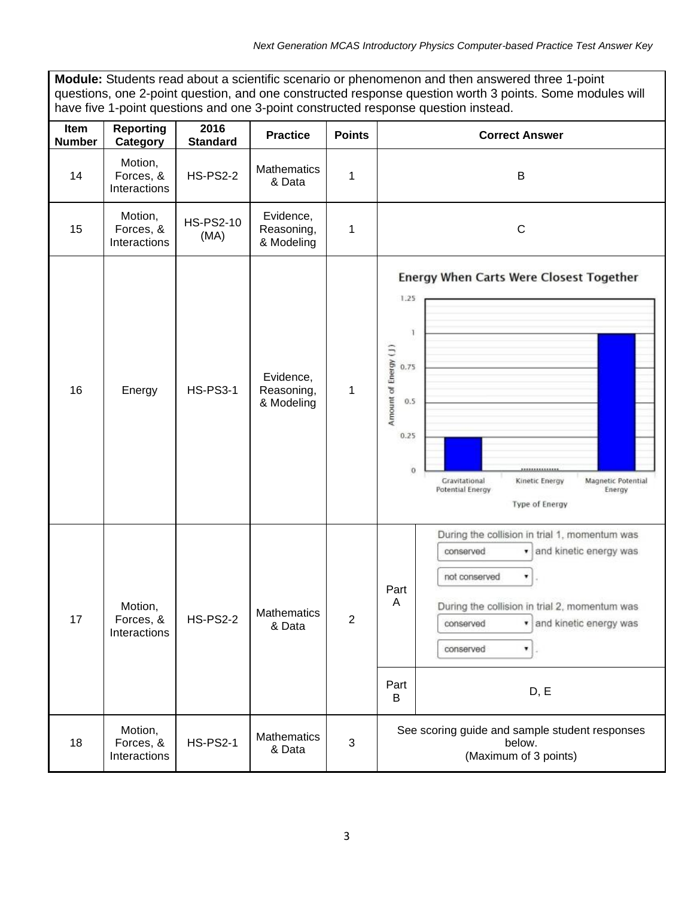ī

| Module: Students read about a scientific scenario or phenomenon and then answered three 1-point<br>questions, one 2-point question, and one constructed response question worth 3 points. Some modules will<br>have five 1-point questions and one 3-point constructed response question instead. |                                      |                          |                                       |                |                                                                                                                                                                                                                                                                          |
|---------------------------------------------------------------------------------------------------------------------------------------------------------------------------------------------------------------------------------------------------------------------------------------------------|--------------------------------------|--------------------------|---------------------------------------|----------------|--------------------------------------------------------------------------------------------------------------------------------------------------------------------------------------------------------------------------------------------------------------------------|
| Item<br><b>Number</b>                                                                                                                                                                                                                                                                             | <b>Reporting</b><br>Category         | 2016<br><b>Standard</b>  | <b>Practice</b>                       | <b>Points</b>  | <b>Correct Answer</b>                                                                                                                                                                                                                                                    |
| 14                                                                                                                                                                                                                                                                                                | Motion,<br>Forces, &<br>Interactions | <b>HS-PS2-2</b>          | <b>Mathematics</b><br>& Data          | 1              | B                                                                                                                                                                                                                                                                        |
| 15                                                                                                                                                                                                                                                                                                | Motion,<br>Forces, &<br>Interactions | <b>HS-PS2-10</b><br>(MA) | Evidence,<br>Reasoning,<br>& Modeling | 1              | $\mathsf C$                                                                                                                                                                                                                                                              |
| 16                                                                                                                                                                                                                                                                                                | Energy                               | <b>HS-PS3-1</b>          | Evidence,<br>Reasoning,<br>& Modeling | 1              | Energy When Carts Were Closest Together<br>1.25<br>Ŧ<br>Amount of Energy (J)<br>0.75<br>0.5<br>0.25<br>$\mathbf{O}$<br>,,,,,,,,,,,,,,<br>Gravitational<br>Magnetic Potential<br>Kinetic Energy<br>Potential Energy<br>Energy<br>Type of Energy                           |
| 17                                                                                                                                                                                                                                                                                                | Motion,<br>Forces, &<br>Interactions | <b>HS-PS2-2</b>          | <b>Mathematics</b><br>& Data          | $\overline{2}$ | During the collision in trial 1, momentum was<br>and kinetic energy was<br>conserved<br>not conserved<br>۳<br>Part<br>A<br>During the collision in trial 2, momentum was<br>and kinetic energy was<br>conserved<br>۷<br>conserved<br>$\mathbf{v}$ .<br>Part<br>D, E<br>B |
| 18                                                                                                                                                                                                                                                                                                | Motion,<br>Forces, &<br>Interactions | <b>HS-PS2-1</b>          | <b>Mathematics</b><br>& Data          | 3              | See scoring guide and sample student responses<br>below.<br>(Maximum of 3 points)                                                                                                                                                                                        |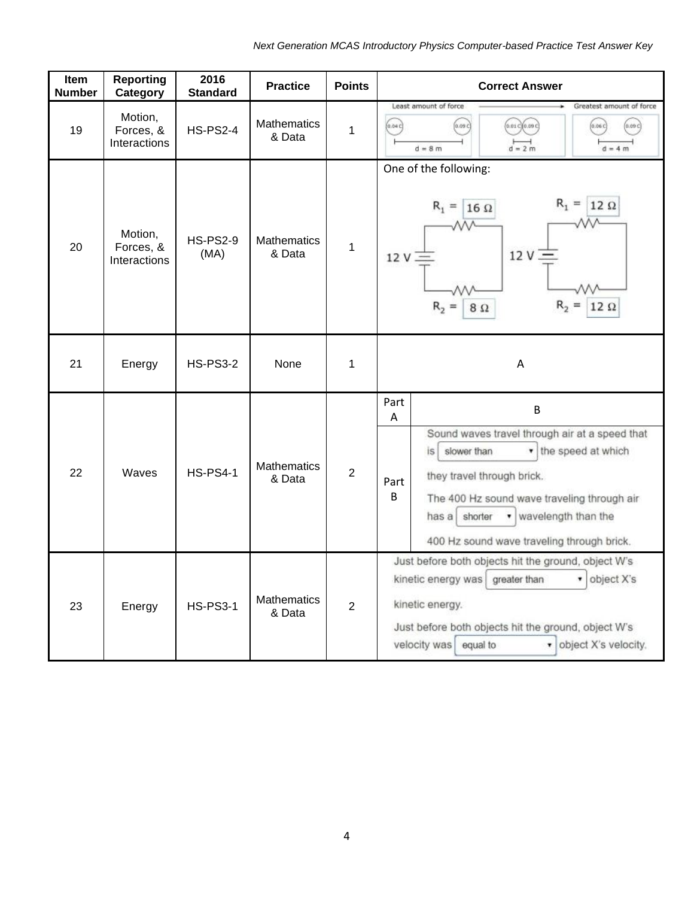| Item<br><b>Number</b> | <b>Reporting</b><br>Category         | 2016<br><b>Standard</b> | <b>Practice</b>              | <b>Points</b>  | <b>Correct Answer</b>                                                                                                                                                                                                                                                                               |
|-----------------------|--------------------------------------|-------------------------|------------------------------|----------------|-----------------------------------------------------------------------------------------------------------------------------------------------------------------------------------------------------------------------------------------------------------------------------------------------------|
| 19                    | Motion,<br>Forces, &<br>Interactions | <b>HS-PS2-4</b>         | <b>Mathematics</b><br>& Data | $\mathbf{1}$   | Least amount of force<br>Greatest amount of force<br>(0.09c)<br>(0.01c)(0.09c)<br>(0.04C)<br>(0.06c)<br>(0.09c)<br>$d = 2m$<br>$d = 8m$<br>$d = 4 m$                                                                                                                                                |
| 20                    | Motion,<br>Forces, &<br>Interactions | <b>HS-PS2-9</b><br>(MA) | <b>Mathematics</b><br>& Data | 1              | One of the following:<br>$R_1 =$<br>$12 \Omega$<br>$R_1 =$<br>$16\ \Omega$<br>12V<br>12V<br>$R_{2}$<br>$R_{2}$<br>8Ω                                                                                                                                                                                |
| 21                    | Energy                               | <b>HS-PS3-2</b>         | None                         | 1              | A                                                                                                                                                                                                                                                                                                   |
| 22                    | Waves                                | <b>HS-PS4-1</b>         | <b>Mathematics</b><br>& Data | $\overline{2}$ | Part<br>B<br>A<br>Sound waves travel through air at a speed that<br>v the speed at which<br>slower than<br>is.<br>they travel through brick.<br>Part<br>B<br>The 400 Hz sound wave traveling through air<br>v wavelength than the<br>has a<br>shorter<br>400 Hz sound wave traveling through brick. |
| 23                    | Energy                               | <b>HS-PS3-1</b>         | <b>Mathematics</b><br>& Data | $\overline{2}$ | Just before both objects hit the ground, object W's<br>kinetic energy was<br>• object X's<br>greater than<br>kinetic energy.<br>Just before both objects hit the ground, object W's<br>• object X's velocity.<br>velocity was equal to                                                              |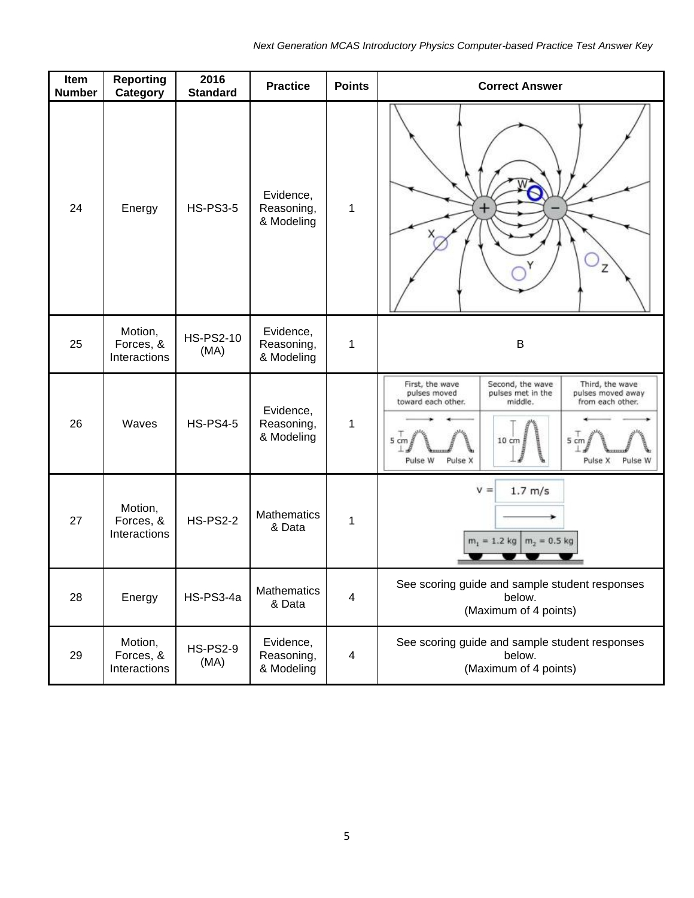| Item<br><b>Number</b> | <b>Reporting</b><br>Category         | 2016<br><b>Standard</b>  | <b>Practice</b>                       | <b>Points</b> | <b>Correct Answer</b>                                                                                                                                                                                                                                |
|-----------------------|--------------------------------------|--------------------------|---------------------------------------|---------------|------------------------------------------------------------------------------------------------------------------------------------------------------------------------------------------------------------------------------------------------------|
| 24                    | Energy                               | <b>HS-PS3-5</b>          | Evidence,<br>Reasoning,<br>& Modeling | 1             | $+$<br>Z                                                                                                                                                                                                                                             |
| 25                    | Motion,<br>Forces, &<br>Interactions | <b>HS-PS2-10</b><br>(MA) | Evidence,<br>Reasoning,<br>& Modeling | 1             | $\sf B$                                                                                                                                                                                                                                              |
| 26                    | Waves                                | <b>HS-PS4-5</b>          | Evidence,<br>Reasoning,<br>& Modeling | 1             | First, the wave<br>Second, the wave<br>Third, the wave<br>pulses moved<br>pulses met in the<br>pulses moved away<br>toward each other.<br>middle.<br>from each other.<br>$5 \text{ cm}$<br>5 cm<br>10 cm<br>Pulse W<br>Pulse X<br>Pulse X<br>Pulse W |
| 27                    | Motion,<br>Forces, &<br>Interactions | <b>HS-PS2-2</b>          | Mathematics<br>& Data                 | 1             | $V =$<br>$1.7$ m/s<br>$m_1 = 1.2$ kg<br>$m_2 = 0.5$ kg                                                                                                                                                                                               |
| 28                    | Energy                               | HS-PS3-4a                | Mathematics<br>& Data                 | 4             | See scoring guide and sample student responses<br>below.<br>(Maximum of 4 points)                                                                                                                                                                    |
| 29                    | Motion,<br>Forces, &<br>Interactions | <b>HS-PS2-9</b><br>(MA)  | Evidence,<br>Reasoning,<br>& Modeling | 4             | See scoring guide and sample student responses<br>below.<br>(Maximum of 4 points)                                                                                                                                                                    |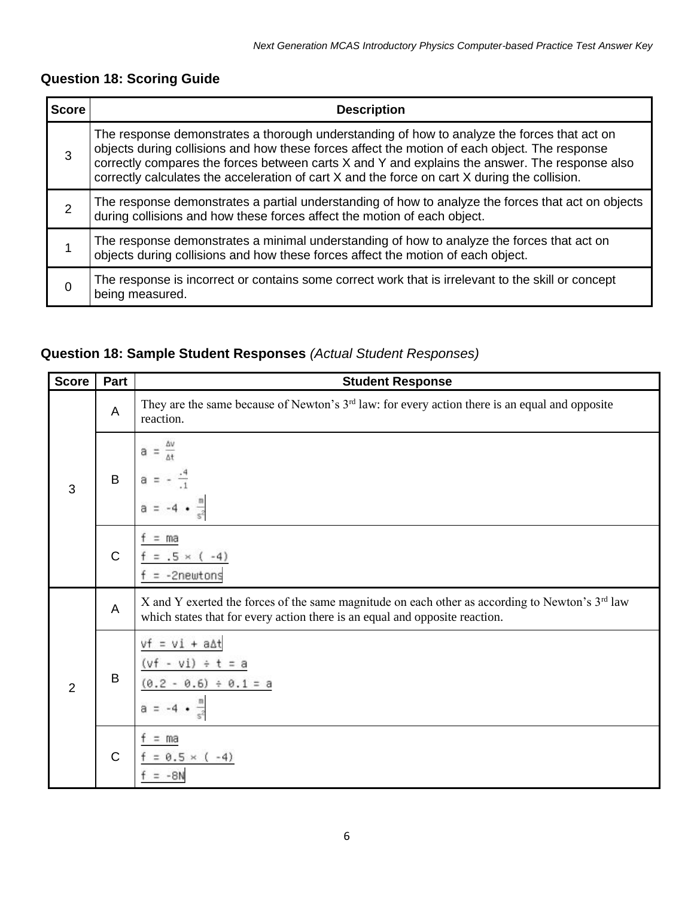# **Question 18: Scoring Guide**

| <b>Score</b> | <b>Description</b>                                                                                                                                                                                                                                                                                                                                                                              |
|--------------|-------------------------------------------------------------------------------------------------------------------------------------------------------------------------------------------------------------------------------------------------------------------------------------------------------------------------------------------------------------------------------------------------|
| 3            | The response demonstrates a thorough understanding of how to analyze the forces that act on<br>objects during collisions and how these forces affect the motion of each object. The response<br>correctly compares the forces between carts X and Y and explains the answer. The response also<br>correctly calculates the acceleration of cart X and the force on cart X during the collision. |
| 2            | The response demonstrates a partial understanding of how to analyze the forces that act on objects<br>during collisions and how these forces affect the motion of each object.                                                                                                                                                                                                                  |
|              | The response demonstrates a minimal understanding of how to analyze the forces that act on<br>objects during collisions and how these forces affect the motion of each object.                                                                                                                                                                                                                  |
|              | The response is incorrect or contains some correct work that is irrelevant to the skill or concept<br>being measured.                                                                                                                                                                                                                                                                           |

### **Question 18: Sample Student Responses** *(Actual Student Responses)*

| <b>Score</b> | Part         | <b>Student Response</b>                                                                                                                                                                    |
|--------------|--------------|--------------------------------------------------------------------------------------------------------------------------------------------------------------------------------------------|
| 3            | $\sf A$      | They are the same because of Newton's 3 <sup>rd</sup> law: for every action there is an equal and opposite<br>reaction.                                                                    |
|              | B            | а                                                                                                                                                                                          |
|              | $\mathsf C$  | = ma<br>$.5 \times$<br>$-41$<br>-2newtons                                                                                                                                                  |
|              | A            | X and Y exerted the forces of the same magnitude on each other as according to Newton's 3 <sup>rd</sup> law<br>which states that for every action there is an equal and opposite reaction. |
| 2            | B            | $V1 + a\Delta t$<br>$= a$<br>$-0.6$ ) ÷ 0.1 = a<br>69                                                                                                                                      |
|              | $\mathsf{C}$ | = ma<br>$0.5 \times (-4)$                                                                                                                                                                  |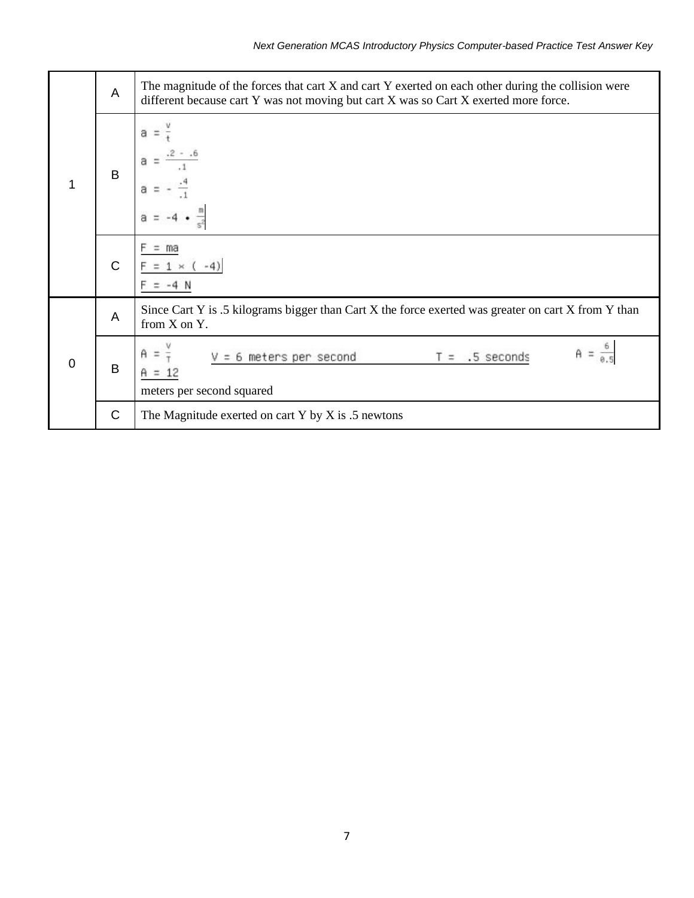|          | A            | The magnitude of the forces that cart X and cart Y exerted on each other during the collision were<br>different because cart Y was not moving but cart X was so Cart X exerted more force. |
|----------|--------------|--------------------------------------------------------------------------------------------------------------------------------------------------------------------------------------------|
| 1        | B            | a                                                                                                                                                                                          |
|          | $\mathsf{C}$ | ma                                                                                                                                                                                         |
|          | A            | Since Cart Y is .5 kilograms bigger than Cart X the force exerted was greater on cart X from Y than<br>from X on Y.                                                                        |
| $\Omega$ | B            | 6 meters per second<br>$T = .5$ seconds<br>meters per second squared                                                                                                                       |
|          | $\mathsf{C}$ | The Magnitude exerted on cart Y by X is $.5$ newtons                                                                                                                                       |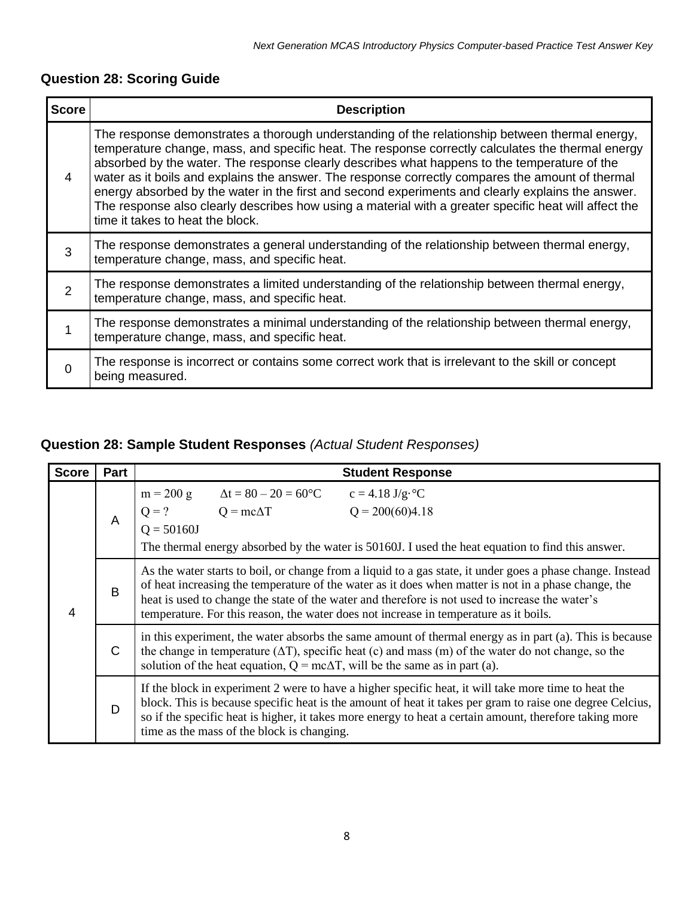| <b>Question 28: Scoring Guide</b> |  |  |  |
|-----------------------------------|--|--|--|
|-----------------------------------|--|--|--|

| <b>Score</b>   | <b>Description</b>                                                                                                                                                                                                                                                                                                                                                                                                                                                                                                                                                                                                                                        |
|----------------|-----------------------------------------------------------------------------------------------------------------------------------------------------------------------------------------------------------------------------------------------------------------------------------------------------------------------------------------------------------------------------------------------------------------------------------------------------------------------------------------------------------------------------------------------------------------------------------------------------------------------------------------------------------|
| 4              | The response demonstrates a thorough understanding of the relationship between thermal energy,<br>temperature change, mass, and specific heat. The response correctly calculates the thermal energy<br>absorbed by the water. The response clearly describes what happens to the temperature of the<br>water as it boils and explains the answer. The response correctly compares the amount of thermal<br>energy absorbed by the water in the first and second experiments and clearly explains the answer.<br>The response also clearly describes how using a material with a greater specific heat will affect the<br>time it takes to heat the block. |
| 3              | The response demonstrates a general understanding of the relationship between thermal energy,<br>temperature change, mass, and specific heat.                                                                                                                                                                                                                                                                                                                                                                                                                                                                                                             |
| $\overline{2}$ | The response demonstrates a limited understanding of the relationship between thermal energy,<br>temperature change, mass, and specific heat.                                                                                                                                                                                                                                                                                                                                                                                                                                                                                                             |
|                | The response demonstrates a minimal understanding of the relationship between thermal energy,<br>temperature change, mass, and specific heat.                                                                                                                                                                                                                                                                                                                                                                                                                                                                                                             |
| ∩              | The response is incorrect or contains some correct work that is irrelevant to the skill or concept<br>being measured.                                                                                                                                                                                                                                                                                                                                                                                                                                                                                                                                     |

# **Question 28: Sample Student Responses** *(Actual Student Responses)*

| <b>Score</b>                                                                                                                                                                                                                                                                                                                                                                                                             | Part         |                                                                                                                                                                                                                                                                                                                                                                            | <b>Student Response</b>                                                                                                                                                                                              |  |  |  |  |  |  |  |
|--------------------------------------------------------------------------------------------------------------------------------------------------------------------------------------------------------------------------------------------------------------------------------------------------------------------------------------------------------------------------------------------------------------------------|--------------|----------------------------------------------------------------------------------------------------------------------------------------------------------------------------------------------------------------------------------------------------------------------------------------------------------------------------------------------------------------------------|----------------------------------------------------------------------------------------------------------------------------------------------------------------------------------------------------------------------|--|--|--|--|--|--|--|
|                                                                                                                                                                                                                                                                                                                                                                                                                          | A            | $m = 200 g$<br>$Q = 50160J$                                                                                                                                                                                                                                                                                                                                                | $\Delta t = 80 - 20 = 60^{\circ}C$<br>$c = 4.18$ J/g· $^{\circ}C$<br>$Q = ?$ $Q = mc\Delta T$ $Q = 200(60)4.18$<br>The thermal energy absorbed by the water is 50160J. I used the heat equation to find this answer. |  |  |  |  |  |  |  |
| As the water starts to boil, or change from a liquid to a gas state, it under goes a phase change. Instead<br>of heat increasing the temperature of the water as it does when matter is not in a phase change, the<br>B<br>heat is used to change the state of the water and therefore is not used to increase the water's<br>4<br>temperature. For this reason, the water does not increase in temperature as it boils. |              |                                                                                                                                                                                                                                                                                                                                                                            |                                                                                                                                                                                                                      |  |  |  |  |  |  |  |
|                                                                                                                                                                                                                                                                                                                                                                                                                          | $\mathsf{C}$ | in this experiment, the water absorbs the same amount of thermal energy as in part (a). This is because<br>the change in temperature $(\Delta T)$ , specific heat (c) and mass (m) of the water do not change, so the<br>solution of the heat equation, $Q = mc\Delta T$ , will be the same as in part (a).                                                                |                                                                                                                                                                                                                      |  |  |  |  |  |  |  |
|                                                                                                                                                                                                                                                                                                                                                                                                                          | D            | If the block in experiment 2 were to have a higher specific heat, it will take more time to heat the<br>block. This is because specific heat is the amount of heat it takes per gram to raise one degree Celcius,<br>so if the specific heat is higher, it takes more energy to heat a certain amount, therefore taking more<br>time as the mass of the block is changing. |                                                                                                                                                                                                                      |  |  |  |  |  |  |  |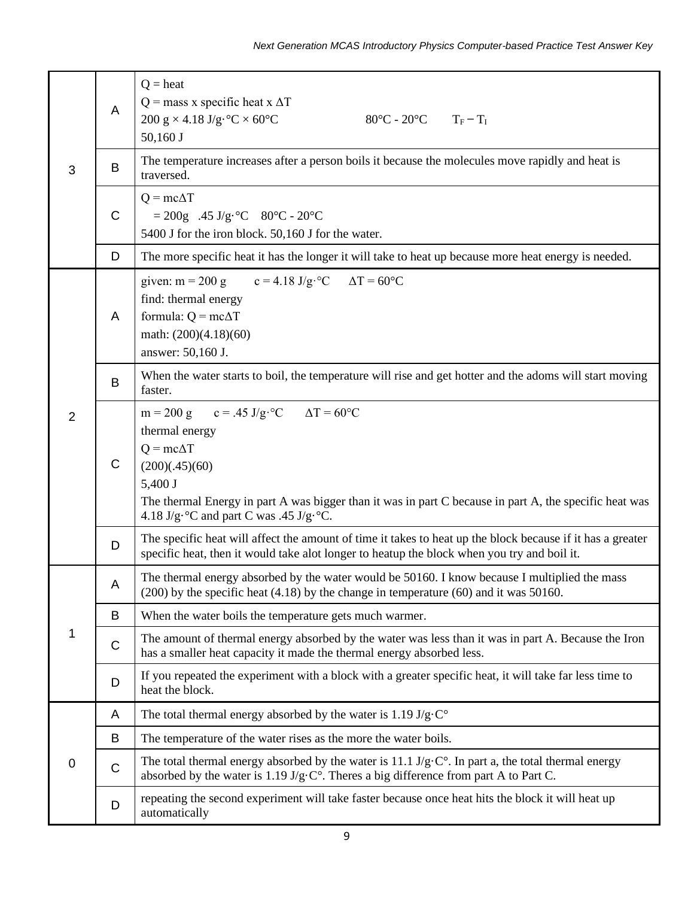|   | A            | $Q = heat$<br>$Q$ = mass x specific heat x $\Delta T$<br>200 g $\times$ 4.18 J/g·°C $\times$ 60°C<br>$80^{\circ}$ C - 20 $^{\circ}$ C T <sub>F</sub> - T <sub>I</sub><br>$50,160$ J                                                                                                             |  |  |  |  |  |  |  |
|---|--------------|-------------------------------------------------------------------------------------------------------------------------------------------------------------------------------------------------------------------------------------------------------------------------------------------------|--|--|--|--|--|--|--|
| 3 | B            | The temperature increases after a person boils it because the molecules move rapidly and heat is<br>traversed.                                                                                                                                                                                  |  |  |  |  |  |  |  |
|   | $\mathsf{C}$ | $Q = mc\Delta T$<br>$= 200g$ .45 J/g·°C 80°C - 20°C<br>5400 J for the iron block. 50,160 J for the water.                                                                                                                                                                                       |  |  |  |  |  |  |  |
|   | D            | The more specific heat it has the longer it will take to heat up because more heat energy is needed.                                                                                                                                                                                            |  |  |  |  |  |  |  |
|   | A            | $c = 4.18$ J/g·°C $\Delta T = 60$ °C<br>given: $m = 200$ g<br>find: thermal energy<br>formula: $Q = mc\Delta T$<br>math: (200)(4.18)(60)<br>answer: 50,160 J.                                                                                                                                   |  |  |  |  |  |  |  |
|   | B            | When the water starts to boil, the temperature will rise and get hotter and the adoms will start moving<br>faster.                                                                                                                                                                              |  |  |  |  |  |  |  |
| 2 | $\mathsf{C}$ | m = 200 g c = .45 J/g·°C $\Delta T = 60$ °C<br>thermal energy<br>$Q = mc\Delta T$<br>(200)(.45)(60)<br>5,400 J<br>The thermal Energy in part A was bigger than it was in part C because in part A, the specific heat was<br>4.18 J/g· $\rm ^{\circ}C$ and part C was .45 J/g· $\rm ^{\circ}C$ . |  |  |  |  |  |  |  |
|   | D            | The specific heat will affect the amount of time it takes to heat up the block because if it has a greater<br>specific heat, then it would take alot longer to heatup the block when you try and boil it.                                                                                       |  |  |  |  |  |  |  |
|   | A            | The thermal energy absorbed by the water would be 50160. I know because I multiplied the mass<br>$(200)$ by the specific heat $(4.18)$ by the change in temperature $(60)$ and it was 50160.                                                                                                    |  |  |  |  |  |  |  |
|   | B            | When the water boils the temperature gets much warmer.                                                                                                                                                                                                                                          |  |  |  |  |  |  |  |
| 1 | $\mathsf C$  | The amount of thermal energy absorbed by the water was less than it was in part A. Because the Iron<br>has a smaller heat capacity it made the thermal energy absorbed less.                                                                                                                    |  |  |  |  |  |  |  |
|   | D            | If you repeated the experiment with a block with a greater specific heat, it will take far less time to<br>heat the block.                                                                                                                                                                      |  |  |  |  |  |  |  |
|   | A            | The total thermal energy absorbed by the water is 1.19 J/g·C $^{\circ}$                                                                                                                                                                                                                         |  |  |  |  |  |  |  |
|   | B            | The temperature of the water rises as the more the water boils.                                                                                                                                                                                                                                 |  |  |  |  |  |  |  |
| 0 | $\mathsf C$  | The total thermal energy absorbed by the water is 11.1 $J/g \cdot C^{\circ}$ . In part a, the total thermal energy<br>absorbed by the water is $1.19 \text{ J/g} \cdot \text{C}^\circ$ . Theres a big difference from part A to Part C.                                                         |  |  |  |  |  |  |  |
|   | D            | repeating the second experiment will take faster because once heat hits the block it will heat up<br>automatically                                                                                                                                                                              |  |  |  |  |  |  |  |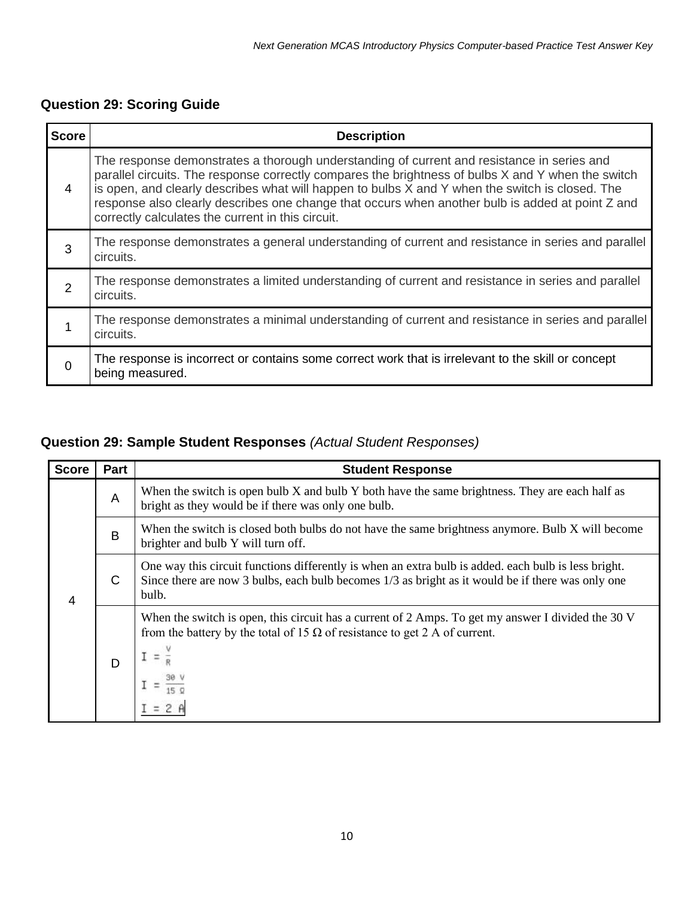### **Question 29: Scoring Guide**

| <b>Score</b>  | <b>Description</b>                                                                                                                                                                                                                                                                                                                                                                                                                                           |
|---------------|--------------------------------------------------------------------------------------------------------------------------------------------------------------------------------------------------------------------------------------------------------------------------------------------------------------------------------------------------------------------------------------------------------------------------------------------------------------|
| 4             | The response demonstrates a thorough understanding of current and resistance in series and<br>parallel circuits. The response correctly compares the brightness of bulbs X and Y when the switch<br>is open, and clearly describes what will happen to bulbs X and Y when the switch is closed. The<br>response also clearly describes one change that occurs when another bulb is added at point Z and<br>correctly calculates the current in this circuit. |
| 3             | The response demonstrates a general understanding of current and resistance in series and parallel<br>circuits.                                                                                                                                                                                                                                                                                                                                              |
| $\mathcal{P}$ | The response demonstrates a limited understanding of current and resistance in series and parallel<br>circuits.                                                                                                                                                                                                                                                                                                                                              |
|               | The response demonstrates a minimal understanding of current and resistance in series and parallel<br>circuits.                                                                                                                                                                                                                                                                                                                                              |
|               | The response is incorrect or contains some correct work that is irrelevant to the skill or concept<br>being measured.                                                                                                                                                                                                                                                                                                                                        |

#### **Question 29: Sample Student Responses** *(Actual Student Responses)*

| <b>Score</b> | Part | <b>Student Response</b>                                                                                                                                                                                            |
|--------------|------|--------------------------------------------------------------------------------------------------------------------------------------------------------------------------------------------------------------------|
| 4            | A    | When the switch is open bulb X and bulb Y both have the same brightness. They are each half as<br>bright as they would be if there was only one bulb.                                                              |
|              | B    | When the switch is closed both bulbs do not have the same brightness anymore. Bulb X will become<br>brighter and bulb Y will turn off.                                                                             |
|              | C    | One way this circuit functions differently is when an extra bulb is added, each bulb is less bright.<br>Since there are now 3 bulbs, each bulb becomes 1/3 as bright as it would be if there was only one<br>bulb. |
|              | D    | When the switch is open, this circuit has a current of 2 Amps. To get my answer I divided the 30 V<br>from the battery by the total of 15 $\Omega$ of resistance to get 2 A of current.                            |